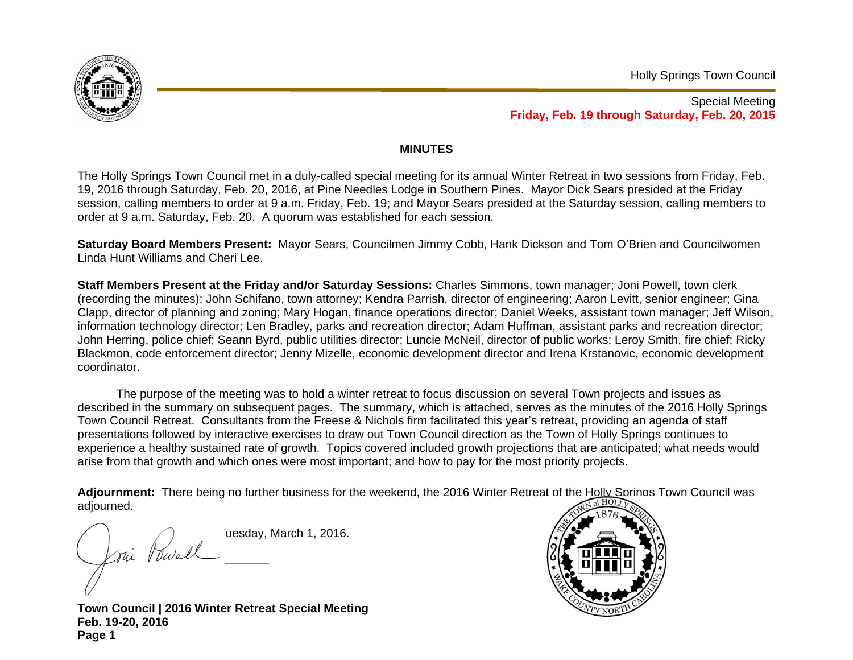

Special Meeting **Friday, Feb. 19 through Saturday, Feb. 20, 2015**

## **MINUTES**

The Holly Springs Town Council met in a duly-called special meeting for its annual Winter Retreat in two sessions from Friday, Feb. 19, 2016 through Saturday, Feb. 20, 2016, at Pine Needles Lodge in Southern Pines. Mayor Dick Sears presided at the Friday session, calling members to order at 9 a.m. Friday, Feb. 19; and Mayor Sears presided at the Saturday session, calling members to order at 9 a.m. Saturday, Feb. 20. A quorum was established for each session.

**Saturday Board Members Present:** Mayor Sears, Councilmen Jimmy Cobb, Hank Dickson and Tom O'Brien and Councilwomen Linda Hunt Williams and Cheri Lee.

**Staff Members Present at the Friday and/or Saturday Sessions:** Charles Simmons, town manager; Joni Powell, town clerk (recording the minutes); John Schifano, town attorney; Kendra Parrish, director of engineering; Aaron Levitt, senior engineer; Gina Clapp, director of planning and zoning; Mary Hogan, finance operations director; Daniel Weeks, assistant town manager; Jeff Wilson, information technology director; Len Bradley, parks and recreation director; Adam Huffman, assistant parks and recreation director; John Herring, police chief; Seann Byrd, public utilities director; Luncie McNeil, director of public works; Leroy Smith, fire chief; Ricky Blackmon, code enforcement director; Jenny Mizelle, economic development director and Irena Krstanovic, economic development coordinator.

The purpose of the meeting was to hold a winter retreat to focus discussion on several Town projects and issues as described in the summary on subsequent pages. The summary, which is attached, serves as the minutes of the 2016 Holly Springs Town Council Retreat. Consultants from the Freese & Nichols firm facilitated this year's retreat, providing an agenda of staff presentations followed by interactive exercises to draw out Town Council direction as the Town of Holly Springs continues to experience a healthy sustained rate of growth. Topics covered included growth projections that are anticipated; what needs would arise from that growth and which ones were most important; and how to pay for the most priority projects.

Adjournment: There being no further business for the weekend, the 2016 Winter Retreat of the Holly Springs Town Council was adjourned.

uesday, March 1, 2016. Thi Powell  $\sqrt{1}$  $\frac{1}{2}$ 

**Town Council | 2016 Winter Retreat Special Meeting Feb. 19-20, 2016 Page 1**

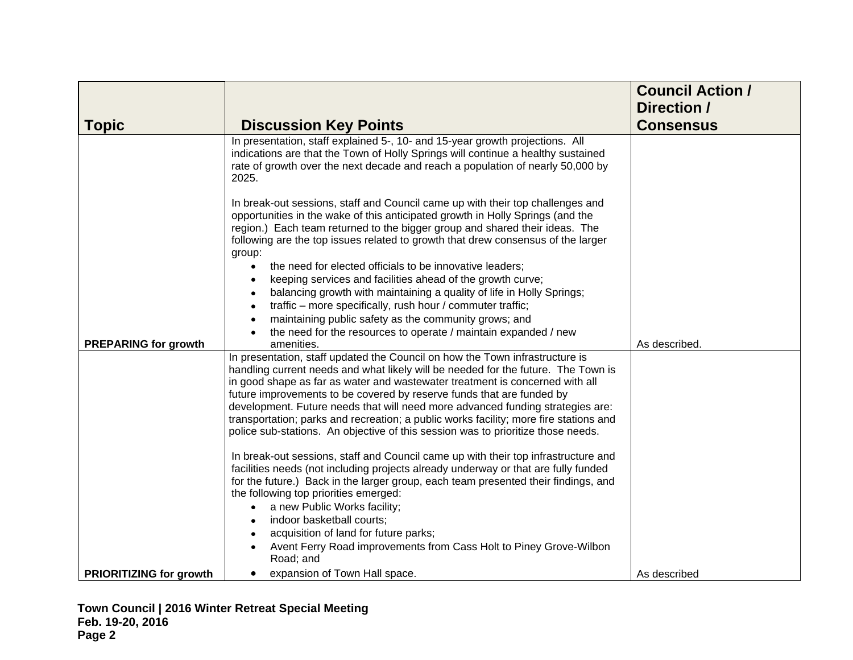| <b>Topic</b>                   | <b>Discussion Key Points</b>                                                                                                                                                                                                                                                                                                                                                                                                                                                                                                                                                              | <b>Council Action /</b><br>Direction /<br><b>Consensus</b> |
|--------------------------------|-------------------------------------------------------------------------------------------------------------------------------------------------------------------------------------------------------------------------------------------------------------------------------------------------------------------------------------------------------------------------------------------------------------------------------------------------------------------------------------------------------------------------------------------------------------------------------------------|------------------------------------------------------------|
|                                | In presentation, staff explained 5-, 10- and 15-year growth projections. All<br>indications are that the Town of Holly Springs will continue a healthy sustained<br>rate of growth over the next decade and reach a population of nearly 50,000 by<br>2025.                                                                                                                                                                                                                                                                                                                               |                                                            |
|                                | In break-out sessions, staff and Council came up with their top challenges and<br>opportunities in the wake of this anticipated growth in Holly Springs (and the<br>region.) Each team returned to the bigger group and shared their ideas. The<br>following are the top issues related to growth that drew consensus of the larger<br>group:                                                                                                                                                                                                                                             |                                                            |
|                                | the need for elected officials to be innovative leaders;<br>$\bullet$<br>keeping services and facilities ahead of the growth curve;<br>balancing growth with maintaining a quality of life in Holly Springs;<br>traffic - more specifically, rush hour / commuter traffic;<br>$\bullet$<br>maintaining public safety as the community grows; and<br>the need for the resources to operate / maintain expanded / new                                                                                                                                                                       |                                                            |
| <b>PREPARING for growth</b>    | amenities.                                                                                                                                                                                                                                                                                                                                                                                                                                                                                                                                                                                | As described.                                              |
|                                | In presentation, staff updated the Council on how the Town infrastructure is<br>handling current needs and what likely will be needed for the future. The Town is<br>in good shape as far as water and wastewater treatment is concerned with all<br>future improvements to be covered by reserve funds that are funded by<br>development. Future needs that will need more advanced funding strategies are:<br>transportation; parks and recreation; a public works facility; more fire stations and<br>police sub-stations. An objective of this session was to prioritize those needs. |                                                            |
|                                | In break-out sessions, staff and Council came up with their top infrastructure and<br>facilities needs (not including projects already underway or that are fully funded<br>for the future.) Back in the larger group, each team presented their findings, and<br>the following top priorities emerged:<br>a new Public Works facility;<br>indoor basketball courts;<br>acquisition of land for future parks;<br>Avent Ferry Road improvements from Cass Holt to Piney Grove-Wilbon                                                                                                       |                                                            |
| <b>PRIORITIZING for growth</b> | Road; and<br>expansion of Town Hall space.<br>$\bullet$                                                                                                                                                                                                                                                                                                                                                                                                                                                                                                                                   | As described                                               |
|                                |                                                                                                                                                                                                                                                                                                                                                                                                                                                                                                                                                                                           |                                                            |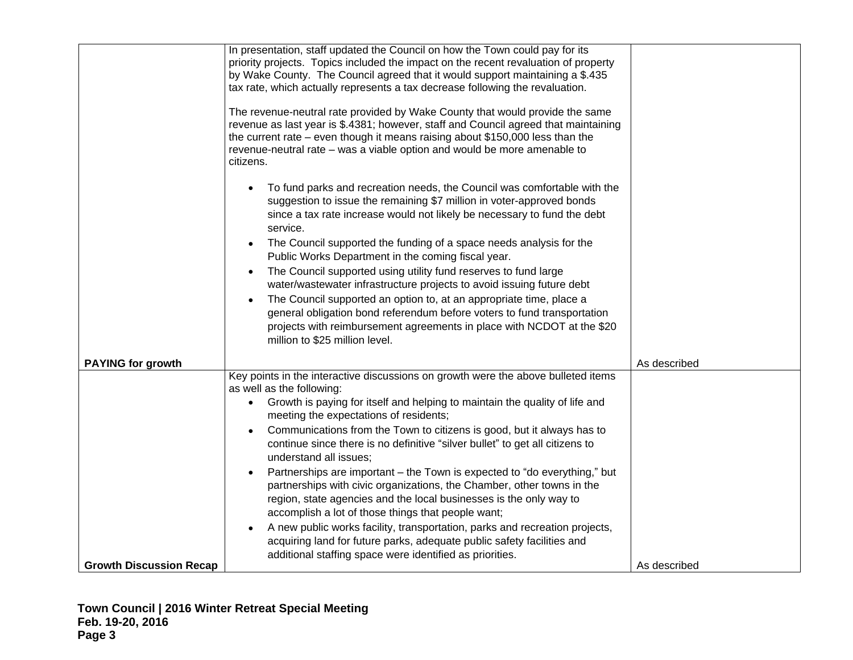|                                | In presentation, staff updated the Council on how the Town could pay for its<br>priority projects. Topics included the impact on the recent revaluation of property<br>by Wake County. The Council agreed that it would support maintaining a \$.435<br>tax rate, which actually represents a tax decrease following the revaluation.<br>The revenue-neutral rate provided by Wake County that would provide the same<br>revenue as last year is \$.4381; however, staff and Council agreed that maintaining<br>the current rate $-$ even though it means raising about \$150,000 less than the<br>revenue-neutral rate – was a viable option and would be more amenable to<br>citizens.                                                                                                      |              |
|--------------------------------|-----------------------------------------------------------------------------------------------------------------------------------------------------------------------------------------------------------------------------------------------------------------------------------------------------------------------------------------------------------------------------------------------------------------------------------------------------------------------------------------------------------------------------------------------------------------------------------------------------------------------------------------------------------------------------------------------------------------------------------------------------------------------------------------------|--------------|
| <b>PAYING for growth</b>       | To fund parks and recreation needs, the Council was comfortable with the<br>suggestion to issue the remaining \$7 million in voter-approved bonds<br>since a tax rate increase would not likely be necessary to fund the debt<br>service.<br>The Council supported the funding of a space needs analysis for the<br>$\bullet$<br>Public Works Department in the coming fiscal year.<br>The Council supported using utility fund reserves to fund large<br>water/wastewater infrastructure projects to avoid issuing future debt<br>The Council supported an option to, at an appropriate time, place a<br>general obligation bond referendum before voters to fund transportation<br>projects with reimbursement agreements in place with NCDOT at the \$20<br>million to \$25 million level. | As described |
|                                | Key points in the interactive discussions on growth were the above bulleted items                                                                                                                                                                                                                                                                                                                                                                                                                                                                                                                                                                                                                                                                                                             |              |
|                                | as well as the following:                                                                                                                                                                                                                                                                                                                                                                                                                                                                                                                                                                                                                                                                                                                                                                     |              |
|                                | Growth is paying for itself and helping to maintain the quality of life and<br>$\bullet$<br>meeting the expectations of residents;                                                                                                                                                                                                                                                                                                                                                                                                                                                                                                                                                                                                                                                            |              |
|                                | Communications from the Town to citizens is good, but it always has to<br>$\bullet$<br>continue since there is no definitive "silver bullet" to get all citizens to<br>understand all issues;                                                                                                                                                                                                                                                                                                                                                                                                                                                                                                                                                                                                 |              |
|                                | Partnerships are important – the Town is expected to "do everything," but<br>partnerships with civic organizations, the Chamber, other towns in the<br>region, state agencies and the local businesses is the only way to<br>accomplish a lot of those things that people want;                                                                                                                                                                                                                                                                                                                                                                                                                                                                                                               |              |
|                                | A new public works facility, transportation, parks and recreation projects,<br>acquiring land for future parks, adequate public safety facilities and<br>additional staffing space were identified as priorities.                                                                                                                                                                                                                                                                                                                                                                                                                                                                                                                                                                             |              |
| <b>Growth Discussion Recap</b> |                                                                                                                                                                                                                                                                                                                                                                                                                                                                                                                                                                                                                                                                                                                                                                                               | As described |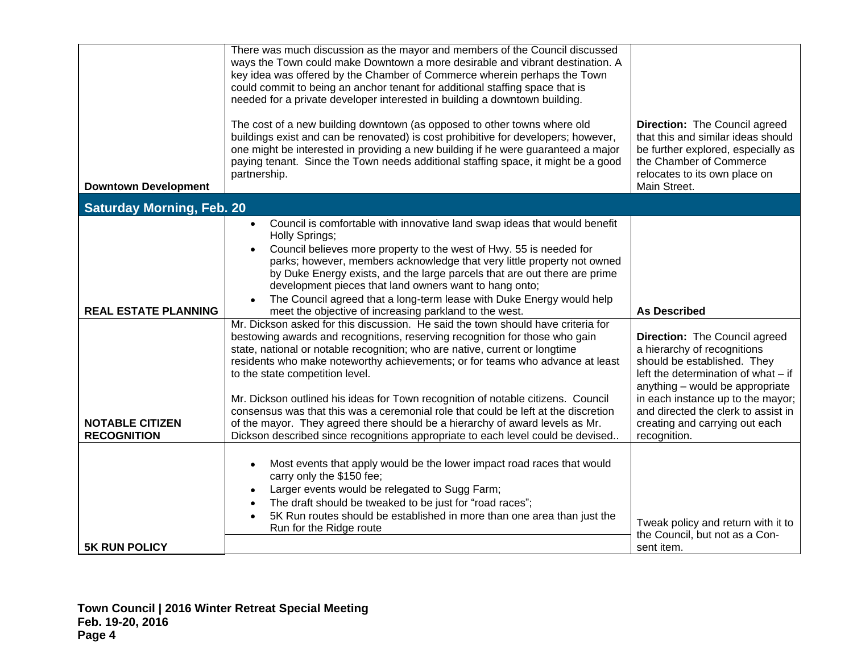|                                              | There was much discussion as the mayor and members of the Council discussed<br>ways the Town could make Downtown a more desirable and vibrant destination. A<br>key idea was offered by the Chamber of Commerce wherein perhaps the Town<br>could commit to being an anchor tenant for additional staffing space that is<br>needed for a private developer interested in building a downtown building.                                                                                                                                                                                                                                                                                                          |                                                                                                                                                                                                                                                                                                     |
|----------------------------------------------|-----------------------------------------------------------------------------------------------------------------------------------------------------------------------------------------------------------------------------------------------------------------------------------------------------------------------------------------------------------------------------------------------------------------------------------------------------------------------------------------------------------------------------------------------------------------------------------------------------------------------------------------------------------------------------------------------------------------|-----------------------------------------------------------------------------------------------------------------------------------------------------------------------------------------------------------------------------------------------------------------------------------------------------|
| <b>Downtown Development</b>                  | The cost of a new building downtown (as opposed to other towns where old<br>buildings exist and can be renovated) is cost prohibitive for developers; however,<br>one might be interested in providing a new building if he were guaranteed a major<br>paying tenant. Since the Town needs additional staffing space, it might be a good<br>partnership.                                                                                                                                                                                                                                                                                                                                                        | Direction: The Council agreed<br>that this and similar ideas should<br>be further explored, especially as<br>the Chamber of Commerce<br>relocates to its own place on<br>Main Street.                                                                                                               |
| <b>Saturday Morning, Feb. 20</b>             |                                                                                                                                                                                                                                                                                                                                                                                                                                                                                                                                                                                                                                                                                                                 |                                                                                                                                                                                                                                                                                                     |
| <b>REAL ESTATE PLANNING</b>                  | Council is comfortable with innovative land swap ideas that would benefit<br>$\bullet$<br>Holly Springs;<br>Council believes more property to the west of Hwy. 55 is needed for<br>parks; however, members acknowledge that very little property not owned<br>by Duke Energy exists, and the large parcels that are out there are prime<br>development pieces that land owners want to hang onto;<br>The Council agreed that a long-term lease with Duke Energy would help<br>meet the objective of increasing parkland to the west.                                                                                                                                                                            | <b>As Described</b>                                                                                                                                                                                                                                                                                 |
| <b>NOTABLE CITIZEN</b><br><b>RECOGNITION</b> | Mr. Dickson asked for this discussion. He said the town should have criteria for<br>bestowing awards and recognitions, reserving recognition for those who gain<br>state, national or notable recognition; who are native, current or longtime<br>residents who make noteworthy achievements; or for teams who advance at least<br>to the state competition level.<br>Mr. Dickson outlined his ideas for Town recognition of notable citizens. Council<br>consensus was that this was a ceremonial role that could be left at the discretion<br>of the mayor. They agreed there should be a hierarchy of award levels as Mr.<br>Dickson described since recognitions appropriate to each level could be devised | Direction: The Council agreed<br>a hierarchy of recognitions<br>should be established. They<br>left the determination of what - if<br>anything - would be appropriate<br>in each instance up to the mayor;<br>and directed the clerk to assist in<br>creating and carrying out each<br>recognition. |
| <b>5K RUN POLICY</b>                         | Most events that apply would be the lower impact road races that would<br>carry only the \$150 fee;<br>Larger events would be relegated to Sugg Farm;<br>The draft should be tweaked to be just for "road races";<br>5K Run routes should be established in more than one area than just the<br>$\bullet$<br>Run for the Ridge route                                                                                                                                                                                                                                                                                                                                                                            | Tweak policy and return with it to<br>the Council, but not as a Con-<br>sent item.                                                                                                                                                                                                                  |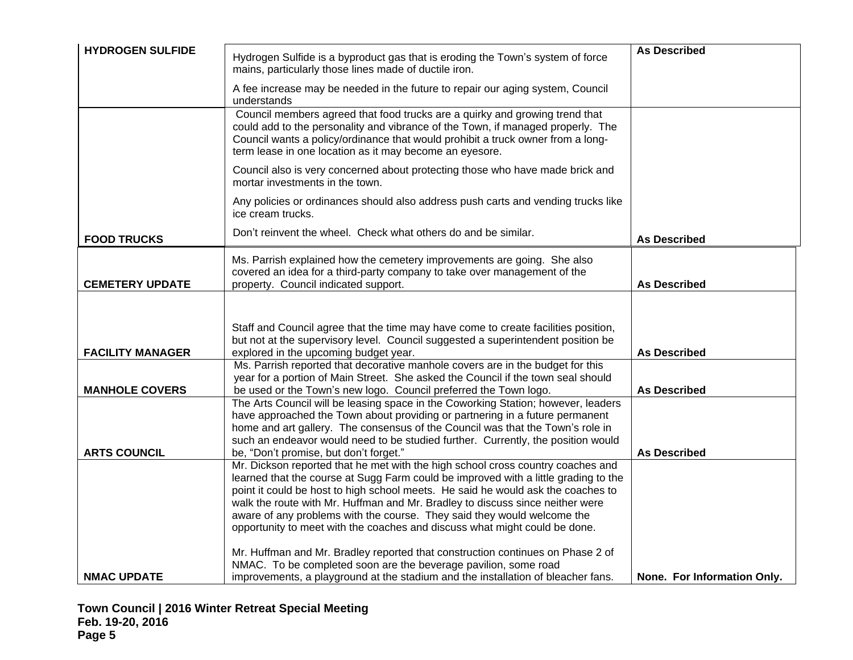| <b>HYDROGEN SULFIDE</b> | Hydrogen Sulfide is a byproduct gas that is eroding the Town's system of force<br>mains, particularly those lines made of ductile iron.                                                                                                                                                                                                                                                                                                                                                              | <b>As Described</b>         |
|-------------------------|------------------------------------------------------------------------------------------------------------------------------------------------------------------------------------------------------------------------------------------------------------------------------------------------------------------------------------------------------------------------------------------------------------------------------------------------------------------------------------------------------|-----------------------------|
|                         | A fee increase may be needed in the future to repair our aging system, Council<br>understands                                                                                                                                                                                                                                                                                                                                                                                                        |                             |
|                         | Council members agreed that food trucks are a quirky and growing trend that<br>could add to the personality and vibrance of the Town, if managed properly. The<br>Council wants a policy/ordinance that would prohibit a truck owner from a long-<br>term lease in one location as it may become an eyesore.                                                                                                                                                                                         |                             |
|                         | Council also is very concerned about protecting those who have made brick and<br>mortar investments in the town.                                                                                                                                                                                                                                                                                                                                                                                     |                             |
|                         | Any policies or ordinances should also address push carts and vending trucks like<br>ice cream trucks.                                                                                                                                                                                                                                                                                                                                                                                               |                             |
| <b>FOOD TRUCKS</b>      | Don't reinvent the wheel. Check what others do and be similar.                                                                                                                                                                                                                                                                                                                                                                                                                                       | <b>As Described</b>         |
| <b>CEMETERY UPDATE</b>  | Ms. Parrish explained how the cemetery improvements are going. She also<br>covered an idea for a third-party company to take over management of the<br>property. Council indicated support.                                                                                                                                                                                                                                                                                                          | <b>As Described</b>         |
|                         |                                                                                                                                                                                                                                                                                                                                                                                                                                                                                                      |                             |
| <b>FACILITY MANAGER</b> | Staff and Council agree that the time may have come to create facilities position,<br>but not at the supervisory level. Council suggested a superintendent position be<br>explored in the upcoming budget year.                                                                                                                                                                                                                                                                                      | <b>As Described</b>         |
| <b>MANHOLE COVERS</b>   | Ms. Parrish reported that decorative manhole covers are in the budget for this<br>year for a portion of Main Street. She asked the Council if the town seal should<br>be used or the Town's new logo. Council preferred the Town logo.                                                                                                                                                                                                                                                               | <b>As Described</b>         |
| <b>ARTS COUNCIL</b>     | The Arts Council will be leasing space in the Coworking Station; however, leaders<br>have approached the Town about providing or partnering in a future permanent<br>home and art gallery. The consensus of the Council was that the Town's role in<br>such an endeavor would need to be studied further. Currently, the position would<br>be, "Don't promise, but don't forget."                                                                                                                    | <b>As Described</b>         |
|                         | Mr. Dickson reported that he met with the high school cross country coaches and<br>learned that the course at Sugg Farm could be improved with a little grading to the<br>point it could be host to high school meets. He said he would ask the coaches to<br>walk the route with Mr. Huffman and Mr. Bradley to discuss since neither were<br>aware of any problems with the course. They said they would welcome the<br>opportunity to meet with the coaches and discuss what might could be done. |                             |
| <b>NMAC UPDATE</b>      | Mr. Huffman and Mr. Bradley reported that construction continues on Phase 2 of<br>NMAC. To be completed soon are the beverage pavilion, some road<br>improvements, a playground at the stadium and the installation of bleacher fans.                                                                                                                                                                                                                                                                | None. For Information Only. |